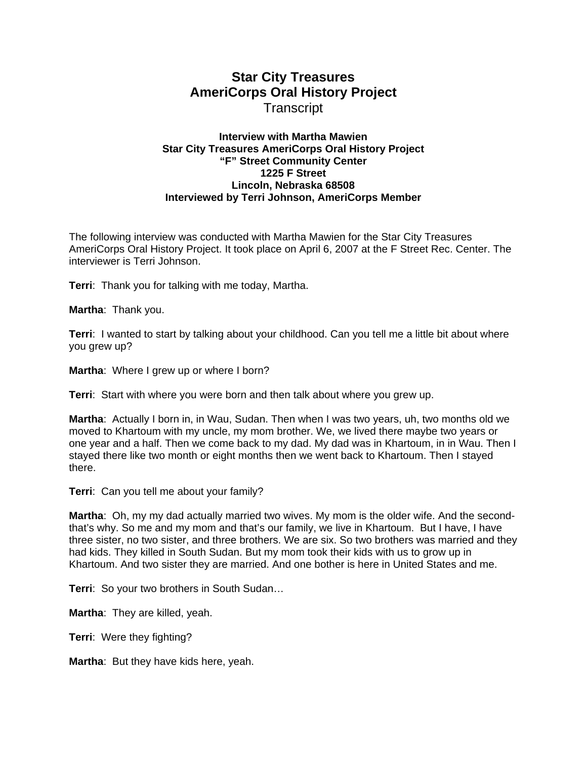# **Star City Treasures AmeriCorps Oral History Project Transcript**

## **Interview with Martha Mawien Star City Treasures AmeriCorps Oral History Project "F" Street Community Center 1225 F Street Lincoln, Nebraska 68508 Interviewed by Terri Johnson, AmeriCorps Member**

The following interview was conducted with Martha Mawien for the Star City Treasures AmeriCorps Oral History Project. It took place on April 6, 2007 at the F Street Rec. Center. The interviewer is Terri Johnson.

**Terri**: Thank you for talking with me today, Martha.

**Martha**: Thank you.

**Terri**: I wanted to start by talking about your childhood. Can you tell me a little bit about where you grew up?

**Martha**: Where I grew up or where I born?

**Terri**: Start with where you were born and then talk about where you grew up.

**Martha**: Actually I born in, in Wau, Sudan. Then when I was two years, uh, two months old we moved to Khartoum with my uncle, my mom brother. We, we lived there maybe two years or one year and a half. Then we come back to my dad. My dad was in Khartoum, in in Wau. Then I stayed there like two month or eight months then we went back to Khartoum. Then I stayed there.

**Terri**: Can you tell me about your family?

**Martha**: Oh, my my dad actually married two wives. My mom is the older wife. And the secondthat's why. So me and my mom and that's our family, we live in Khartoum. But I have, I have three sister, no two sister, and three brothers. We are six. So two brothers was married and they had kids. They killed in South Sudan. But my mom took their kids with us to grow up in Khartoum. And two sister they are married. And one bother is here in United States and me.

**Terri**: So your two brothers in South Sudan…

**Martha**: They are killed, yeah.

**Terri**: Were they fighting?

**Martha**: But they have kids here, yeah.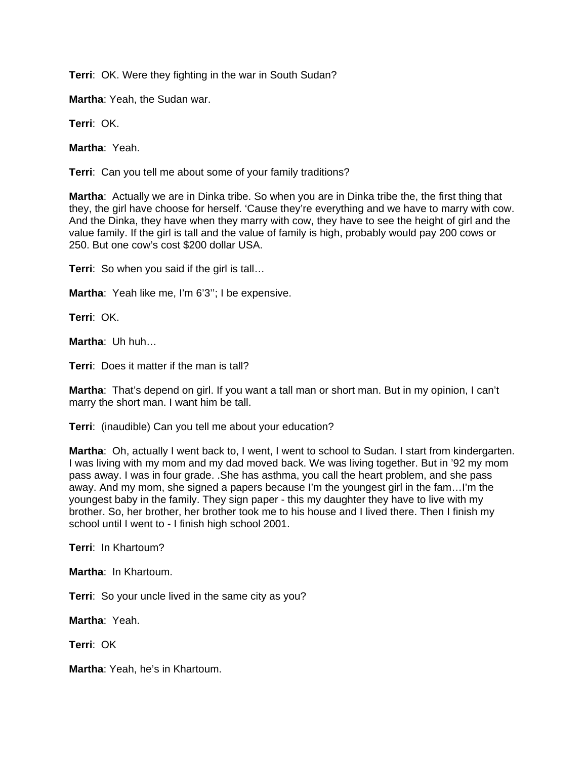**Terri**: OK. Were they fighting in the war in South Sudan?

**Martha**: Yeah, the Sudan war.

**Terri**: OK.

**Martha**: Yeah.

**Terri**: Can you tell me about some of your family traditions?

**Martha**: Actually we are in Dinka tribe. So when you are in Dinka tribe the, the first thing that they, the girl have choose for herself. 'Cause they're everything and we have to marry with cow. And the Dinka, they have when they marry with cow, they have to see the height of girl and the value family. If the girl is tall and the value of family is high, probably would pay 200 cows or 250. But one cow's cost \$200 dollar USA.

**Terri**: So when you said if the girl is tall…

**Martha**: Yeah like me, I'm 6'3''; I be expensive.

**Terri**: OK.

**Martha**: Uh huh…

**Terri**: Does it matter if the man is tall?

**Martha**: That's depend on girl. If you want a tall man or short man. But in my opinion, I can't marry the short man. I want him be tall.

**Terri**: (inaudible) Can you tell me about your education?

**Martha**: Oh, actually I went back to, I went, I went to school to Sudan. I start from kindergarten. I was living with my mom and my dad moved back. We was living together. But in '92 my mom pass away. I was in four grade. .She has asthma, you call the heart problem, and she pass away. And my mom, she signed a papers because I'm the youngest girl in the fam…I'm the youngest baby in the family. They sign paper - this my daughter they have to live with my brother. So, her brother, her brother took me to his house and I lived there. Then I finish my school until I went to - I finish high school 2001.

**Terri**: In Khartoum?

**Martha**: In Khartoum.

**Terri**: So your uncle lived in the same city as you?

**Martha**: Yeah.

**Terri**: OK

**Martha**: Yeah, he's in Khartoum.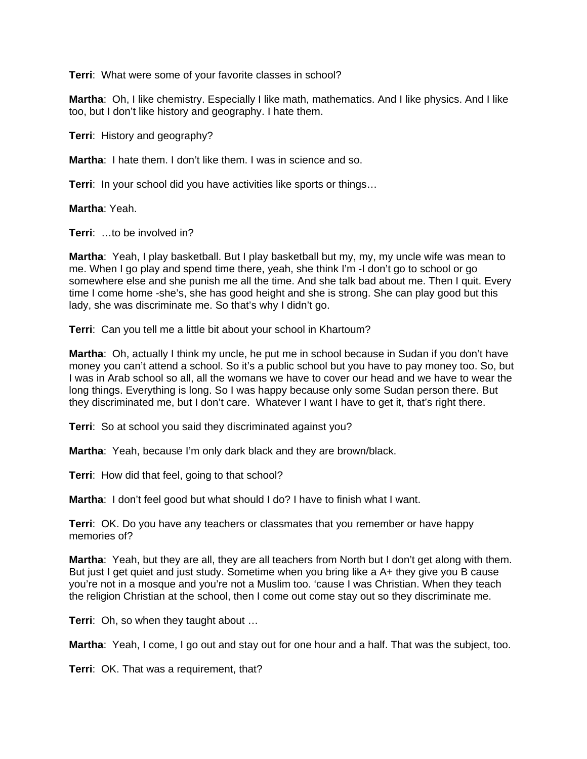**Terri**: What were some of your favorite classes in school?

**Martha**: Oh, I like chemistry. Especially I like math, mathematics. And I like physics. And I like too, but I don't like history and geography. I hate them.

**Terri**: History and geography?

**Martha**: I hate them. I don't like them. I was in science and so.

**Terri:** In your school did you have activities like sports or things...

**Martha**: Yeah.

**Terri**: …to be involved in?

**Martha**: Yeah, I play basketball. But I play basketball but my, my, my uncle wife was mean to me. When I go play and spend time there, yeah, she think I'm -I don't go to school or go somewhere else and she punish me all the time. And she talk bad about me. Then I quit. Every time I come home -she's, she has good height and she is strong. She can play good but this lady, she was discriminate me. So that's why I didn't go.

**Terri**: Can you tell me a little bit about your school in Khartoum?

**Martha**: Oh, actually I think my uncle, he put me in school because in Sudan if you don't have money you can't attend a school. So it's a public school but you have to pay money too. So, but I was in Arab school so all, all the womans we have to cover our head and we have to wear the long things. Everything is long. So I was happy because only some Sudan person there. But they discriminated me, but I don't care. Whatever I want I have to get it, that's right there.

**Terri**: So at school you said they discriminated against you?

**Martha**: Yeah, because I'm only dark black and they are brown/black.

**Terri**: How did that feel, going to that school?

**Martha**: I don't feel good but what should I do? I have to finish what I want.

**Terri**: OK. Do you have any teachers or classmates that you remember or have happy memories of?

**Martha**: Yeah, but they are all, they are all teachers from North but I don't get along with them. But just I get quiet and just study. Sometime when you bring like a A+ they give you B cause you're not in a mosque and you're not a Muslim too. 'cause I was Christian. When they teach the religion Christian at the school, then I come out come stay out so they discriminate me.

**Terri**: Oh, so when they taught about …

**Martha**: Yeah, I come, I go out and stay out for one hour and a half. That was the subject, too.

**Terri**: OK. That was a requirement, that?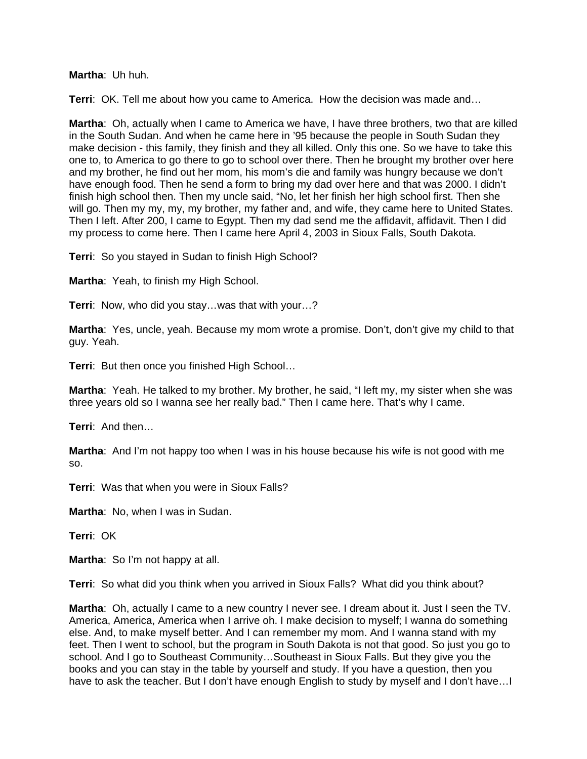## **Martha**: Uh huh.

**Terri**: OK. Tell me about how you came to America. How the decision was made and…

**Martha**: Oh, actually when I came to America we have, I have three brothers, two that are killed in the South Sudan. And when he came here in '95 because the people in South Sudan they make decision - this family, they finish and they all killed. Only this one. So we have to take this one to, to America to go there to go to school over there. Then he brought my brother over here and my brother, he find out her mom, his mom's die and family was hungry because we don't have enough food. Then he send a form to bring my dad over here and that was 2000. I didn't finish high school then. Then my uncle said, "No, let her finish her high school first. Then she will go. Then my my, my, my brother, my father and, and wife, they came here to United States. Then I left. After 200, I came to Egypt. Then my dad send me the affidavit, affidavit. Then I did my process to come here. Then I came here April 4, 2003 in Sioux Falls, South Dakota.

**Terri**: So you stayed in Sudan to finish High School?

**Martha**: Yeah, to finish my High School.

**Terri**: Now, who did you stay…was that with your…?

**Martha**: Yes, uncle, yeah. Because my mom wrote a promise. Don't, don't give my child to that guy. Yeah.

**Terri**: But then once you finished High School…

**Martha**: Yeah. He talked to my brother. My brother, he said, "I left my, my sister when she was three years old so I wanna see her really bad." Then I came here. That's why I came.

**Terri**: And then…

**Martha**: And I'm not happy too when I was in his house because his wife is not good with me so.

**Terri**: Was that when you were in Sioux Falls?

**Martha**: No, when I was in Sudan.

**Terri**: OK

**Martha**: So I'm not happy at all.

**Terri**: So what did you think when you arrived in Sioux Falls? What did you think about?

**Martha**: Oh, actually I came to a new country I never see. I dream about it. Just I seen the TV. America, America, America when I arrive oh. I make decision to myself; I wanna do something else. And, to make myself better. And I can remember my mom. And I wanna stand with my feet. Then I went to school, but the program in South Dakota is not that good. So just you go to school. And I go to Southeast Community…Southeast in Sioux Falls. But they give you the books and you can stay in the table by yourself and study. If you have a question, then you have to ask the teacher. But I don't have enough English to study by myself and I don't have…I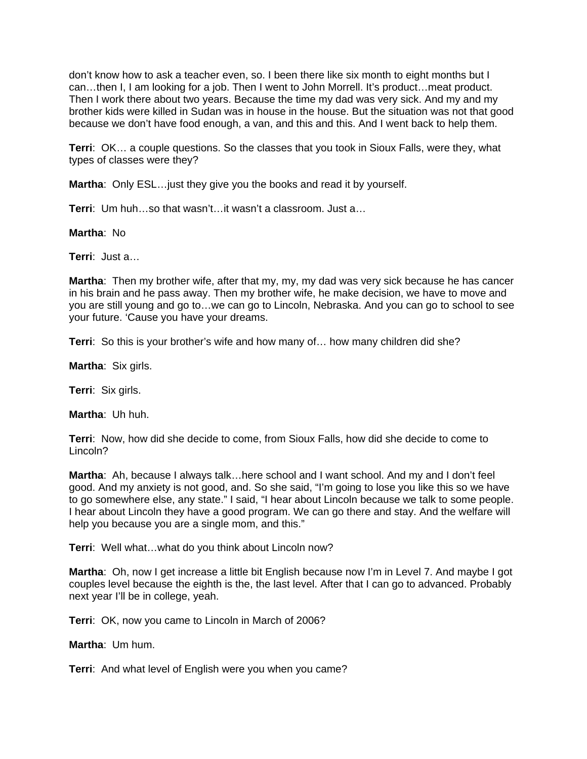don't know how to ask a teacher even, so. I been there like six month to eight months but I can…then I, I am looking for a job. Then I went to John Morrell. It's product…meat product. Then I work there about two years. Because the time my dad was very sick. And my and my brother kids were killed in Sudan was in house in the house. But the situation was not that good because we don't have food enough, a van, and this and this. And I went back to help them.

**Terri**: OK… a couple questions. So the classes that you took in Sioux Falls, were they, what types of classes were they?

**Martha**: Only ESL…just they give you the books and read it by yourself.

**Terri**: Um huh…so that wasn't…it wasn't a classroom. Just a…

**Martha**: No

**Terri**: Just a…

**Martha**: Then my brother wife, after that my, my, my dad was very sick because he has cancer in his brain and he pass away. Then my brother wife, he make decision, we have to move and you are still young and go to…we can go to Lincoln, Nebraska. And you can go to school to see your future. 'Cause you have your dreams.

**Terri**: So this is your brother's wife and how many of… how many children did she?

**Martha**: Six girls.

**Terri**: Six girls.

**Martha**: Uh huh.

**Terri**: Now, how did she decide to come, from Sioux Falls, how did she decide to come to Lincoln?

**Martha**: Ah, because I always talk…here school and I want school. And my and I don't feel good. And my anxiety is not good, and. So she said, "I'm going to lose you like this so we have to go somewhere else, any state." I said, "I hear about Lincoln because we talk to some people. I hear about Lincoln they have a good program. We can go there and stay. And the welfare will help you because you are a single mom, and this."

**Terri**: Well what…what do you think about Lincoln now?

**Martha**: Oh, now I get increase a little bit English because now I'm in Level 7. And maybe I got couples level because the eighth is the, the last level. After that I can go to advanced. Probably next year I'll be in college, yeah.

**Terri**: OK, now you came to Lincoln in March of 2006?

**Martha**: Um hum.

**Terri**: And what level of English were you when you came?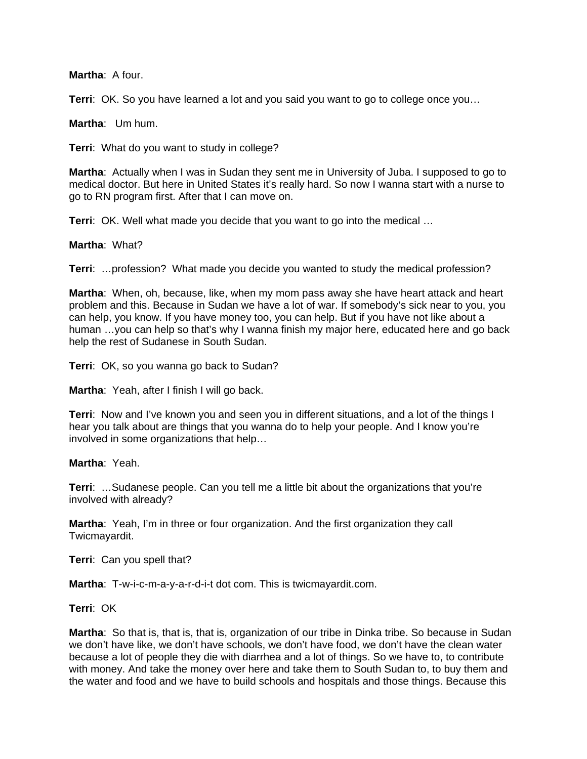### **Martha**: A four.

**Terri:** OK. So you have learned a lot and you said you want to go to college once you...

**Martha**: Um hum.

**Terri**: What do you want to study in college?

**Martha**: Actually when I was in Sudan they sent me in University of Juba. I supposed to go to medical doctor. But here in United States it's really hard. So now I wanna start with a nurse to go to RN program first. After that I can move on.

**Terri**: OK. Well what made you decide that you want to go into the medical …

## **Martha**: What?

**Terri**: …profession? What made you decide you wanted to study the medical profession?

**Martha**: When, oh, because, like, when my mom pass away she have heart attack and heart problem and this. Because in Sudan we have a lot of war. If somebody's sick near to you, you can help, you know. If you have money too, you can help. But if you have not like about a human ...you can help so that's why I wanna finish my major here, educated here and go back help the rest of Sudanese in South Sudan.

**Terri**: OK, so you wanna go back to Sudan?

**Martha**: Yeah, after I finish I will go back.

**Terri**: Now and I've known you and seen you in different situations, and a lot of the things I hear you talk about are things that you wanna do to help your people. And I know you're involved in some organizations that help…

#### **Martha**: Yeah.

**Terri**: …Sudanese people. Can you tell me a little bit about the organizations that you're involved with already?

**Martha**: Yeah, I'm in three or four organization. And the first organization they call Twicmayardit.

**Terri**: Can you spell that?

**Martha**: T-w-i-c-m-a-y-a-r-d-i-t dot com. This is twicmayardit.com.

**Terri**: OK

**Martha**: So that is, that is, that is, organization of our tribe in Dinka tribe. So because in Sudan we don't have like, we don't have schools, we don't have food, we don't have the clean water because a lot of people they die with diarrhea and a lot of things. So we have to, to contribute with money. And take the money over here and take them to South Sudan to, to buy them and the water and food and we have to build schools and hospitals and those things. Because this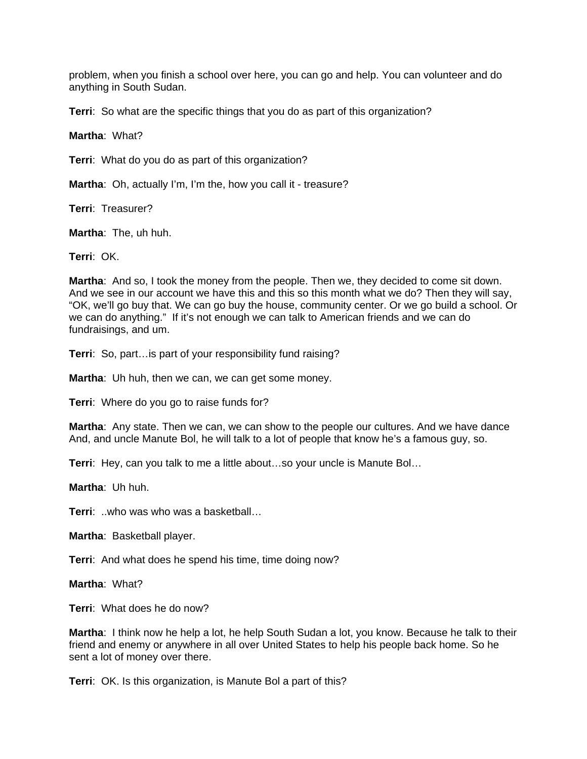problem, when you finish a school over here, you can go and help. You can volunteer and do anything in South Sudan.

**Terri**: So what are the specific things that you do as part of this organization?

**Martha**: What?

**Terri**: What do you do as part of this organization?

**Martha**: Oh, actually I'm, I'm the, how you call it - treasure?

**Terri**: Treasurer?

**Martha**: The, uh huh.

**Terri**: OK.

**Martha**: And so, I took the money from the people. Then we, they decided to come sit down. And we see in our account we have this and this so this month what we do? Then they will say, "OK, we'll go buy that. We can go buy the house, community center. Or we go build a school. Or we can do anything." If it's not enough we can talk to American friends and we can do fundraisings, and um.

**Terri**: So, part…is part of your responsibility fund raising?

**Martha**: Uh huh, then we can, we can get some money.

**Terri**: Where do you go to raise funds for?

**Martha**: Any state. Then we can, we can show to the people our cultures. And we have dance And, and uncle Manute Bol, he will talk to a lot of people that know he's a famous guy, so.

**Terri**: Hey, can you talk to me a little about…so your uncle is Manute Bol…

**Martha**: Uh huh.

**Terri**: ..who was who was a basketball…

**Martha**: Basketball player.

**Terri**: And what does he spend his time, time doing now?

**Martha**: What?

**Terri**: What does he do now?

**Martha**: I think now he help a lot, he help South Sudan a lot, you know. Because he talk to their friend and enemy or anywhere in all over United States to help his people back home. So he sent a lot of money over there.

**Terri**: OK. Is this organization, is Manute Bol a part of this?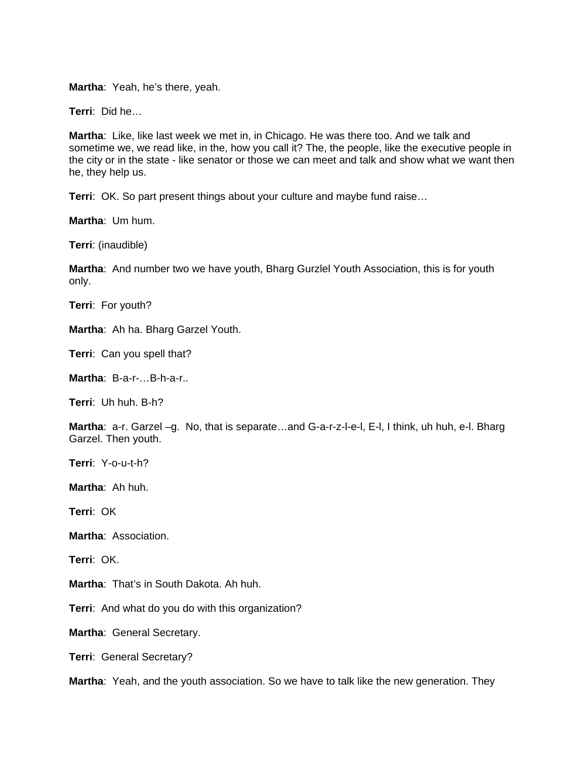**Martha**: Yeah, he's there, yeah.

**Terri**: Did he…

**Martha**: Like, like last week we met in, in Chicago. He was there too. And we talk and sometime we, we read like, in the, how you call it? The, the people, like the executive people in the city or in the state - like senator or those we can meet and talk and show what we want then he, they help us.

**Terri:** OK. So part present things about your culture and maybe fund raise...

**Martha**: Um hum.

**Terri**: (inaudible)

**Martha**: And number two we have youth, Bharg Gurzlel Youth Association, this is for youth only.

**Terri**: For youth?

**Martha**: Ah ha. Bharg Garzel Youth.

**Terri**: Can you spell that?

**Martha**: B-a-r-…B-h-a-r..

**Terri**: Uh huh. B-h?

**Martha**: a-r. Garzel –g. No, that is separate…and G-a-r-z-l-e-l, E-l, I think, uh huh, e-l. Bharg Garzel. Then youth.

**Terri**: Y-o-u-t-h?

**Martha**: Ah huh.

**Terri**: OK

**Martha**: Association.

**Terri**: OK.

**Martha**: That's in South Dakota. Ah huh.

**Terri**: And what do you do with this organization?

**Martha**: General Secretary.

**Terri**: General Secretary?

**Martha**: Yeah, and the youth association. So we have to talk like the new generation. They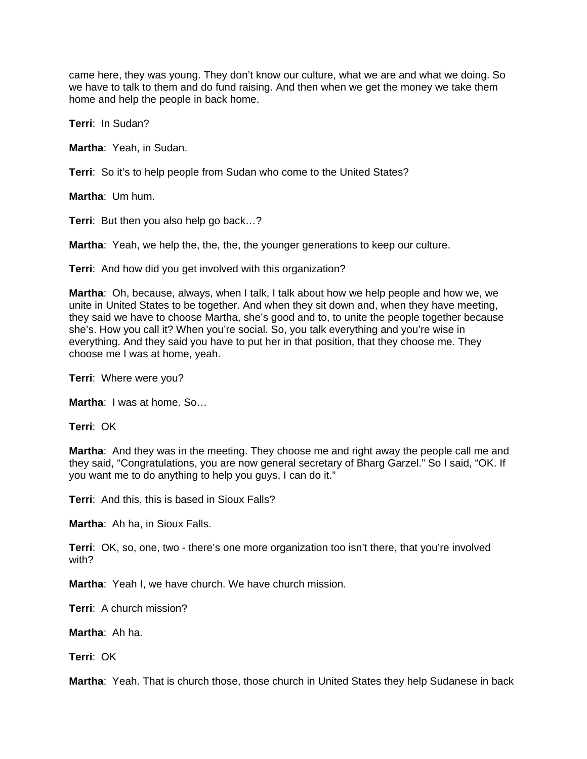came here, they was young. They don't know our culture, what we are and what we doing. So we have to talk to them and do fund raising. And then when we get the money we take them home and help the people in back home.

**Terri**: In Sudan?

**Martha**: Yeah, in Sudan.

**Terri**: So it's to help people from Sudan who come to the United States?

**Martha**: Um hum.

**Terri**: But then you also help go back…?

**Martha**: Yeah, we help the, the, the, the younger generations to keep our culture.

**Terri**: And how did you get involved with this organization?

**Martha**: Oh, because, always, when I talk, I talk about how we help people and how we, we unite in United States to be together. And when they sit down and, when they have meeting, they said we have to choose Martha, she's good and to, to unite the people together because she's. How you call it? When you're social. So, you talk everything and you're wise in everything. And they said you have to put her in that position, that they choose me. They choose me I was at home, yeah.

**Terri**: Where were you?

**Martha**: I was at home. So…

**Terri**: OK

**Martha**: And they was in the meeting. They choose me and right away the people call me and they said, "Congratulations, you are now general secretary of Bharg Garzel." So I said, "OK. If you want me to do anything to help you guys, I can do it."

**Terri**: And this, this is based in Sioux Falls?

**Martha**: Ah ha, in Sioux Falls.

**Terri**: OK, so, one, two - there's one more organization too isn't there, that you're involved with?

**Martha**: Yeah I, we have church. We have church mission.

**Terri**: A church mission?

**Martha**: Ah ha.

**Terri**: OK

**Martha**: Yeah. That is church those, those church in United States they help Sudanese in back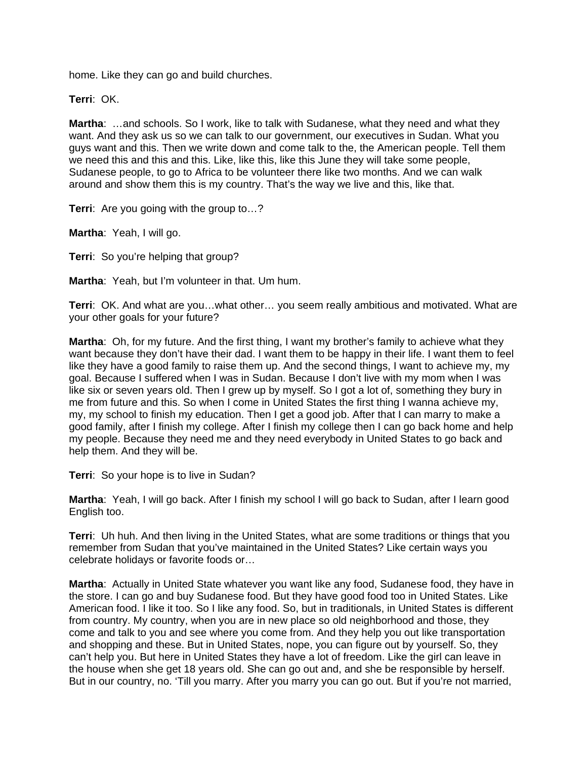home. Like they can go and build churches.

**Terri**: OK.

**Martha**: …and schools. So I work, like to talk with Sudanese, what they need and what they want. And they ask us so we can talk to our government, our executives in Sudan. What you guys want and this. Then we write down and come talk to the, the American people. Tell them we need this and this and this. Like, like this, like this June they will take some people, Sudanese people, to go to Africa to be volunteer there like two months. And we can walk around and show them this is my country. That's the way we live and this, like that.

**Terri**: Are you going with the group to…?

**Martha**: Yeah, I will go.

**Terri**: So you're helping that group?

**Martha**: Yeah, but I'm volunteer in that. Um hum.

**Terri**: OK. And what are you…what other… you seem really ambitious and motivated. What are your other goals for your future?

**Martha**: Oh, for my future. And the first thing, I want my brother's family to achieve what they want because they don't have their dad. I want them to be happy in their life. I want them to feel like they have a good family to raise them up. And the second things, I want to achieve my, my goal. Because I suffered when I was in Sudan. Because I don't live with my mom when I was like six or seven years old. Then I grew up by myself. So I got a lot of, something they bury in me from future and this. So when I come in United States the first thing I wanna achieve my, my, my school to finish my education. Then I get a good job. After that I can marry to make a good family, after I finish my college. After I finish my college then I can go back home and help my people. Because they need me and they need everybody in United States to go back and help them. And they will be.

**Terri**: So your hope is to live in Sudan?

**Martha**: Yeah, I will go back. After I finish my school I will go back to Sudan, after I learn good English too.

**Terri**: Uh huh. And then living in the United States, what are some traditions or things that you remember from Sudan that you've maintained in the United States? Like certain ways you celebrate holidays or favorite foods or…

**Martha**: Actually in United State whatever you want like any food, Sudanese food, they have in the store. I can go and buy Sudanese food. But they have good food too in United States. Like American food. I like it too. So I like any food. So, but in traditionals, in United States is different from country. My country, when you are in new place so old neighborhood and those, they come and talk to you and see where you come from. And they help you out like transportation and shopping and these. But in United States, nope, you can figure out by yourself. So, they can't help you. But here in United States they have a lot of freedom. Like the girl can leave in the house when she get 18 years old. She can go out and, and she be responsible by herself. But in our country, no. 'Till you marry. After you marry you can go out. But if you're not married,